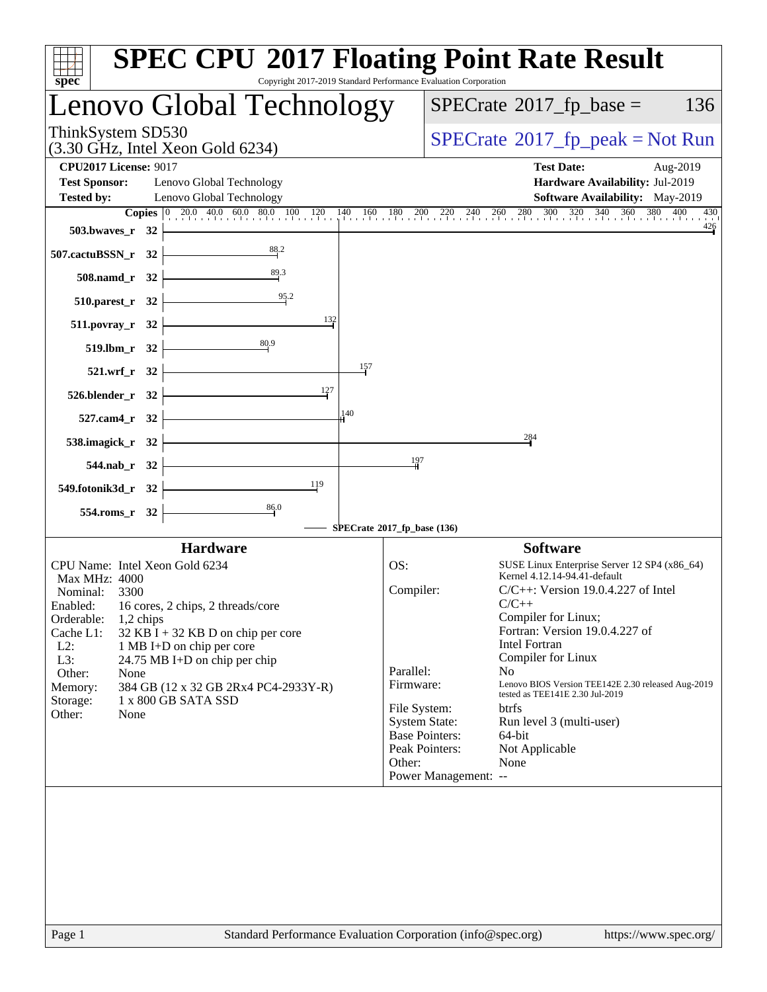| $spec^*$                                                                  | <b>SPEC CPU®2017 Floating Point Rate Result</b><br>Copyright 2017-2019 Standard Performance Evaluation Corporation |                             |                       |                                                                                                                                                                                           |
|---------------------------------------------------------------------------|--------------------------------------------------------------------------------------------------------------------|-----------------------------|-----------------------|-------------------------------------------------------------------------------------------------------------------------------------------------------------------------------------------|
|                                                                           | Lenovo Global Technology                                                                                           |                             |                       | $SPECrate^{\circledast}2017$ _fp_base =<br>136                                                                                                                                            |
| ThinkSystem SD530                                                         | $(3.30 \text{ GHz}, \text{Intel Xeon Gold } 6234)$                                                                 |                             |                       | $SPECrate^{\circ}2017rfp peak = Not Run$                                                                                                                                                  |
| <b>CPU2017 License: 9017</b><br><b>Test Sponsor:</b><br><b>Tested by:</b> | Lenovo Global Technology<br>Lenovo Global Technology                                                               |                             |                       | <b>Test Date:</b><br>Aug-2019<br>Hardware Availability: Jul-2019<br><b>Software Availability:</b> May-2019                                                                                |
|                                                                           |                                                                                                                    |                             |                       | <b>Copies</b> $\begin{bmatrix} 0 & 20.0 & 40.0 & 60.0 & 80.0 & 100 & 120 & 140 & 160 & 180 & 200 & 220 & 240 & 260 & 280 & 300 & 320 & 340 & 360 & 380 & 400 \end{bmatrix}$<br>430<br>426 |
| 503.bwayes_r 32                                                           | 88.2                                                                                                               |                             |                       |                                                                                                                                                                                           |
| 507.cactuBSSN_r 32                                                        |                                                                                                                    |                             |                       |                                                                                                                                                                                           |
| 508.namd_r 32                                                             | $\frac{89.3}{4}$                                                                                                   |                             |                       |                                                                                                                                                                                           |
| $510.parest_r$ 32                                                         | 95.2                                                                                                               |                             |                       |                                                                                                                                                                                           |
| 511.povray_r 32                                                           | 132                                                                                                                |                             |                       |                                                                                                                                                                                           |
| 519.lbm_r 32                                                              | 80.9                                                                                                               |                             |                       |                                                                                                                                                                                           |
| 521.wrf_r 32                                                              |                                                                                                                    | 157                         |                       |                                                                                                                                                                                           |
| 526.blender_r 32                                                          | 127                                                                                                                |                             |                       |                                                                                                                                                                                           |
| 527.cam4_r 32                                                             |                                                                                                                    | 140                         |                       |                                                                                                                                                                                           |
| 538.imagick_r 32                                                          |                                                                                                                    |                             |                       | 284                                                                                                                                                                                       |
| 544.nab_r 32                                                              |                                                                                                                    | 197                         |                       |                                                                                                                                                                                           |
| 549.fotonik3d_r 32                                                        | $\frac{119}{ }$                                                                                                    |                             |                       |                                                                                                                                                                                           |
|                                                                           | $\frac{86.0}{4}$                                                                                                   |                             |                       |                                                                                                                                                                                           |
| 554.roms_r 32                                                             |                                                                                                                    | SPECrate®2017_fp_base (136) |                       |                                                                                                                                                                                           |
|                                                                           | <b>Hardware</b>                                                                                                    |                             |                       | <b>Software</b>                                                                                                                                                                           |
| CPU Name: Intel Xeon Gold 6234                                            |                                                                                                                    | OS:                         |                       | SUSE Linux Enterprise Server 12 SP4 (x86_64)<br>Kernel 4.12.14-94.41-default                                                                                                              |
| Max MHz: 4000<br>Nominal:<br>3300                                         |                                                                                                                    | Compiler:                   |                       | $C/C++$ : Version 19.0.4.227 of Intel                                                                                                                                                     |
|                                                                           | Enabled: 16 cores, 2 chips, 2 threads/core                                                                         |                             |                       | $C/C++$<br>Compiler for Linux;                                                                                                                                                            |
| Orderable:<br>1,2 chips<br>Cache L1:                                      | $32$ KB I + 32 KB D on chip per core                                                                               |                             |                       | Fortran: Version 19.0.4.227 of                                                                                                                                                            |
| $L2$ :<br>L3:                                                             | 1 MB I+D on chip per core<br>24.75 MB I+D on chip per chip                                                         |                             |                       | <b>Intel Fortran</b><br>Compiler for Linux                                                                                                                                                |
| Other:<br>None                                                            |                                                                                                                    | Parallel:                   |                       | N <sub>o</sub>                                                                                                                                                                            |
| Memory:<br>Storage:                                                       | 384 GB (12 x 32 GB 2Rx4 PC4-2933Y-R)<br>1 x 800 GB SATA SSD                                                        | Firmware:                   |                       | Lenovo BIOS Version TEE142E 2.30 released Aug-2019<br>tested as TEE141E 2.30 Jul-2019                                                                                                     |
| Other:<br>None                                                            |                                                                                                                    | File System:                | <b>System State:</b>  | <b>btrfs</b><br>Run level 3 (multi-user)                                                                                                                                                  |
|                                                                           |                                                                                                                    |                             | <b>Base Pointers:</b> | 64-bit                                                                                                                                                                                    |
|                                                                           |                                                                                                                    | Other:                      | Peak Pointers:        | Not Applicable<br>None                                                                                                                                                                    |
|                                                                           |                                                                                                                    |                             | Power Management: --  |                                                                                                                                                                                           |
|                                                                           |                                                                                                                    |                             |                       |                                                                                                                                                                                           |
| Page 1                                                                    | Standard Performance Evaluation Corporation (info@spec.org)                                                        |                             |                       | https://www.spec.org/                                                                                                                                                                     |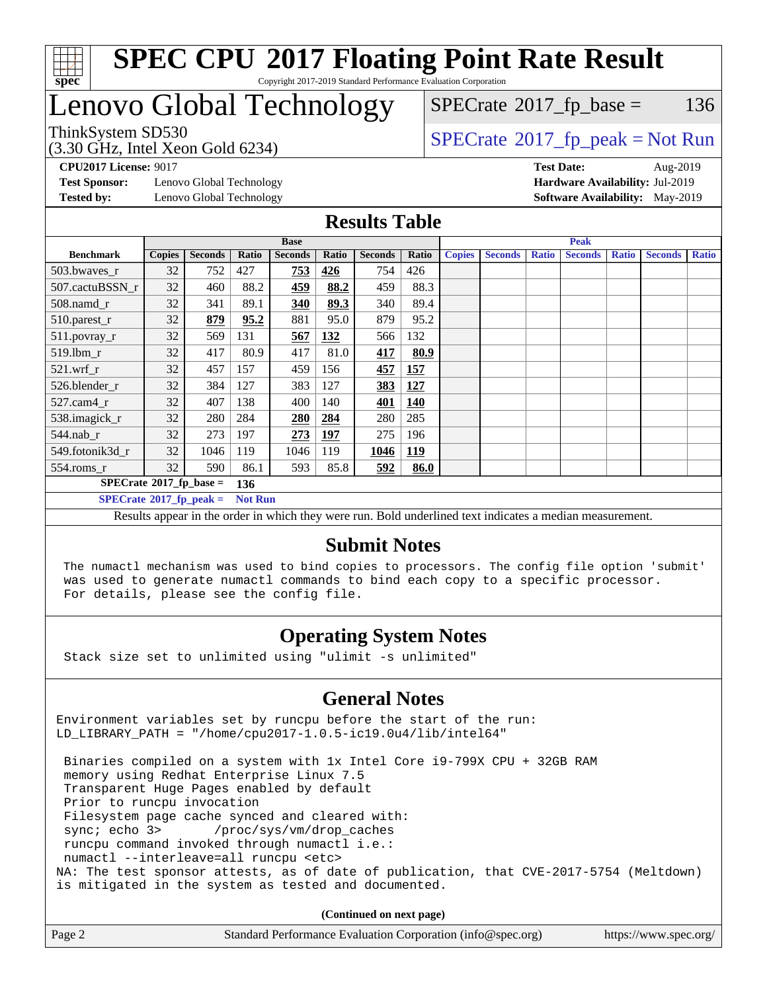

# Lenovo Global Technology

 $SPECTate$ <sup>®</sup>[2017\\_fp\\_base =](http://www.spec.org/auto/cpu2017/Docs/result-fields.html#SPECrate2017fpbase) 136

(3.30 GHz, Intel Xeon Gold 6234)

 $SPECTate@2017_fp\_peak = Not Run$ 

**[Test Sponsor:](http://www.spec.org/auto/cpu2017/Docs/result-fields.html#TestSponsor)** Lenovo Global Technology **[Hardware Availability:](http://www.spec.org/auto/cpu2017/Docs/result-fields.html#HardwareAvailability)** Jul-2019 **[Tested by:](http://www.spec.org/auto/cpu2017/Docs/result-fields.html#Testedby)** Lenovo Global Technology **[Software Availability:](http://www.spec.org/auto/cpu2017/Docs/result-fields.html#SoftwareAvailability)** May-2019

**[CPU2017 License:](http://www.spec.org/auto/cpu2017/Docs/result-fields.html#CPU2017License)** 9017 **[Test Date:](http://www.spec.org/auto/cpu2017/Docs/result-fields.html#TestDate)** Aug-2019

### **[Results Table](http://www.spec.org/auto/cpu2017/Docs/result-fields.html#ResultsTable)**

|                                               | <b>Base</b>   |                |                |                |            | <b>Peak</b>    |       |               |                |              |                |              |                |              |
|-----------------------------------------------|---------------|----------------|----------------|----------------|------------|----------------|-------|---------------|----------------|--------------|----------------|--------------|----------------|--------------|
| <b>Benchmark</b>                              | <b>Copies</b> | <b>Seconds</b> | Ratio          | <b>Seconds</b> | Ratio      | <b>Seconds</b> | Ratio | <b>Copies</b> | <b>Seconds</b> | <b>Ratio</b> | <b>Seconds</b> | <b>Ratio</b> | <b>Seconds</b> | <b>Ratio</b> |
| 503.bwayes_r                                  | 32            | 752            | 427            | 753            | 426        | 754            | 426   |               |                |              |                |              |                |              |
| 507.cactuBSSN r                               | 32            | 460            | 88.2           | <u>459</u>     | 88.2       | 459            | 88.3  |               |                |              |                |              |                |              |
| 508.namd_r                                    | 32            | 341            | 89.1           | 340            | 89.3       | 340            | 89.4  |               |                |              |                |              |                |              |
| 510.parest_r                                  | 32            | 879            | 95.2           | 881            | 95.0       | 879            | 95.2  |               |                |              |                |              |                |              |
| 511.povray_r                                  | 32            | 569            | 131            | 567            | 132        | 566            | 132   |               |                |              |                |              |                |              |
| 519.lbm r                                     | 32            | 417            | 80.9           | 417            | 81.0       | 417            | 80.9  |               |                |              |                |              |                |              |
| $521$ .wrf r                                  | 32            | 457            | 157            | 459            | 156        | 457            | 157   |               |                |              |                |              |                |              |
| 526.blender r                                 | 32            | 384            | 127            | 383            | 127        | 383            | 127   |               |                |              |                |              |                |              |
| 527.cam4 r                                    | 32            | 407            | 138            | 400            | 140        | 401            | 140   |               |                |              |                |              |                |              |
| 538.imagick_r                                 | 32            | 280            | 284            | 280            | 284        | 280            | 285   |               |                |              |                |              |                |              |
| $544$ .nab r                                  | 32            | 273            | 197            | 273            | <b>197</b> | 275            | 196   |               |                |              |                |              |                |              |
| 549.fotonik3d r                               | 32            | 1046           | 119            | 1046           | 119        | 1046           | 119   |               |                |              |                |              |                |              |
| $554$ .roms_r                                 | 32            | 590            | 86.1           | 593            | 85.8       | 592            | 86.0  |               |                |              |                |              |                |              |
| $SPECrate$ <sup>®</sup> 2017_fp_base =<br>136 |               |                |                |                |            |                |       |               |                |              |                |              |                |              |
| $SPECrate^{\circ}2017$ fp peak =              |               |                | <b>Not Run</b> |                |            |                |       |               |                |              |                |              |                |              |

Results appear in the [order in which they were run.](http://www.spec.org/auto/cpu2017/Docs/result-fields.html#RunOrder) Bold underlined text [indicates a median measurement.](http://www.spec.org/auto/cpu2017/Docs/result-fields.html#Median)

### **[Submit Notes](http://www.spec.org/auto/cpu2017/Docs/result-fields.html#SubmitNotes)**

 The numactl mechanism was used to bind copies to processors. The config file option 'submit' was used to generate numactl commands to bind each copy to a specific processor. For details, please see the config file.

### **[Operating System Notes](http://www.spec.org/auto/cpu2017/Docs/result-fields.html#OperatingSystemNotes)**

Stack size set to unlimited using "ulimit -s unlimited"

### **[General Notes](http://www.spec.org/auto/cpu2017/Docs/result-fields.html#GeneralNotes)**

Environment variables set by runcpu before the start of the run: LD\_LIBRARY\_PATH = "/home/cpu2017-1.0.5-ic19.0u4/lib/intel64"

 Binaries compiled on a system with 1x Intel Core i9-799X CPU + 32GB RAM memory using Redhat Enterprise Linux 7.5 Transparent Huge Pages enabled by default Prior to runcpu invocation Filesystem page cache synced and cleared with: sync; echo 3> /proc/sys/vm/drop\_caches runcpu command invoked through numactl i.e.: numactl --interleave=all runcpu <etc> NA: The test sponsor attests, as of date of publication, that CVE-2017-5754 (Meltdown) is mitigated in the system as tested and documented.

**(Continued on next page)**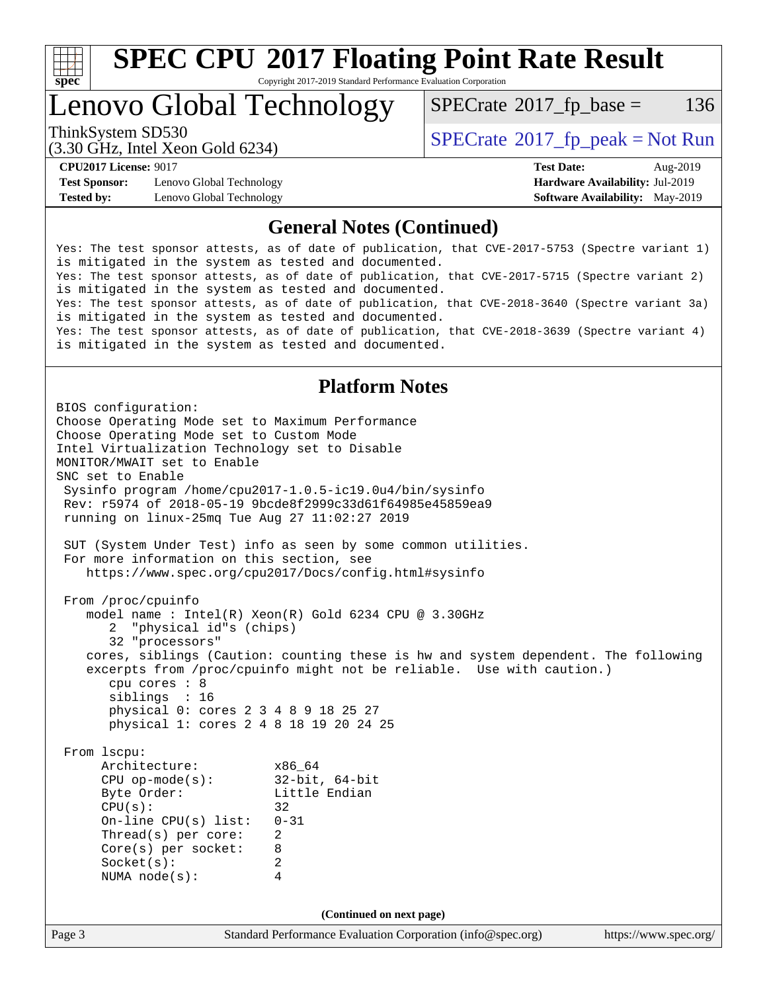

# **[SPEC CPU](http://www.spec.org/auto/cpu2017/Docs/result-fields.html#SPECCPU2017FloatingPointRateResult)[2017 Floating Point Rate Result](http://www.spec.org/auto/cpu2017/Docs/result-fields.html#SPECCPU2017FloatingPointRateResult)**

Copyright 2017-2019 Standard Performance Evaluation Corporation

### Lenovo Global Technology

 $SPECTate$ <sup>®</sup>[2017\\_fp\\_base =](http://www.spec.org/auto/cpu2017/Docs/result-fields.html#SPECrate2017fpbase) 136

(3.30 GHz, Intel Xeon Gold 6234)

**[Test Sponsor:](http://www.spec.org/auto/cpu2017/Docs/result-fields.html#TestSponsor)** Lenovo Global Technology **[Hardware Availability:](http://www.spec.org/auto/cpu2017/Docs/result-fields.html#HardwareAvailability)** Jul-2019 **[Tested by:](http://www.spec.org/auto/cpu2017/Docs/result-fields.html#Testedby)** Lenovo Global Technology **[Software Availability:](http://www.spec.org/auto/cpu2017/Docs/result-fields.html#SoftwareAvailability)** May-2019

ThinkSystem SD530  $SPECrate@2017_fp\_peak = Not Run$  $SPECrate@2017_fp\_peak = Not Run$ 

**[CPU2017 License:](http://www.spec.org/auto/cpu2017/Docs/result-fields.html#CPU2017License)** 9017 **[Test Date:](http://www.spec.org/auto/cpu2017/Docs/result-fields.html#TestDate)** Aug-2019

### **[General Notes \(Continued\)](http://www.spec.org/auto/cpu2017/Docs/result-fields.html#GeneralNotes)**

Yes: The test sponsor attests, as of date of publication, that CVE-2017-5753 (Spectre variant 1) is mitigated in the system as tested and documented. Yes: The test sponsor attests, as of date of publication, that CVE-2017-5715 (Spectre variant 2) is mitigated in the system as tested and documented. Yes: The test sponsor attests, as of date of publication, that CVE-2018-3640 (Spectre variant 3a) is mitigated in the system as tested and documented. Yes: The test sponsor attests, as of date of publication, that CVE-2018-3639 (Spectre variant 4) is mitigated in the system as tested and documented.

### **[Platform Notes](http://www.spec.org/auto/cpu2017/Docs/result-fields.html#PlatformNotes)**

Page 3 Standard Performance Evaluation Corporation [\(info@spec.org\)](mailto:info@spec.org) <https://www.spec.org/> BIOS configuration: Choose Operating Mode set to Maximum Performance Choose Operating Mode set to Custom Mode Intel Virtualization Technology set to Disable MONITOR/MWAIT set to Enable SNC set to Enable Sysinfo program /home/cpu2017-1.0.5-ic19.0u4/bin/sysinfo Rev: r5974 of 2018-05-19 9bcde8f2999c33d61f64985e45859ea9 running on linux-25mq Tue Aug 27 11:02:27 2019 SUT (System Under Test) info as seen by some common utilities. For more information on this section, see <https://www.spec.org/cpu2017/Docs/config.html#sysinfo> From /proc/cpuinfo model name : Intel(R) Xeon(R) Gold 6234 CPU @ 3.30GHz 2 "physical id"s (chips) 32 "processors" cores, siblings (Caution: counting these is hw and system dependent. The following excerpts from /proc/cpuinfo might not be reliable. Use with caution.) cpu cores : 8 siblings : 16 physical 0: cores 2 3 4 8 9 18 25 27 physical 1: cores 2 4 8 18 19 20 24 25 From lscpu: Architecture: x86\_64 CPU op-mode(s): 32-bit, 64-bit Little Endian  $CPU(s):$  32 On-line CPU(s) list: 0-31 Thread(s) per core: 2 Core(s) per socket: 8 Socket(s): 2 NUMA node(s): 4 **(Continued on next page)**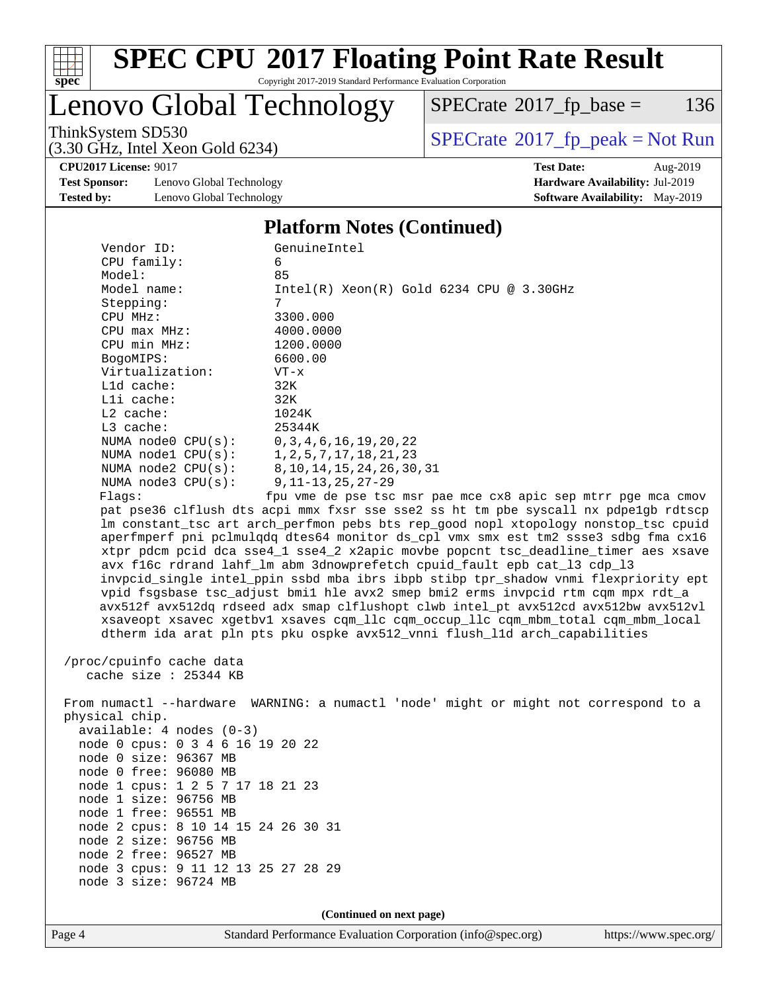

# **[SPEC CPU](http://www.spec.org/auto/cpu2017/Docs/result-fields.html#SPECCPU2017FloatingPointRateResult)[2017 Floating Point Rate Result](http://www.spec.org/auto/cpu2017/Docs/result-fields.html#SPECCPU2017FloatingPointRateResult)**

Copyright 2017-2019 Standard Performance Evaluation Corporation

Lenovo Global Technology

 $SPECTate$ <sup>®</sup>[2017\\_fp\\_base =](http://www.spec.org/auto/cpu2017/Docs/result-fields.html#SPECrate2017fpbase) 136

(3.30 GHz, Intel Xeon Gold 6234)

ThinkSystem SD530<br>  $\begin{array}{c}\n\text{SPECrate} \textcirc 2017\_fp\_peak = Not Run \\
\text{SPECrate} \textcirc 2017\_fp\_peak = Not Run\n\end{array}$  $\begin{array}{c}\n\text{SPECrate} \textcirc 2017\_fp\_peak = Not Run \\
\text{SPECrate} \textcirc 2017\_fp\_peak = Not Run\n\end{array}$  $\begin{array}{c}\n\text{SPECrate} \textcirc 2017\_fp\_peak = Not Run \\
\text{SPECrate} \textcirc 2017\_fp\_peak = Not Run\n\end{array}$ 

**[CPU2017 License:](http://www.spec.org/auto/cpu2017/Docs/result-fields.html#CPU2017License)** 9017 **[Test Date:](http://www.spec.org/auto/cpu2017/Docs/result-fields.html#TestDate)** Aug-2019

**[Test Sponsor:](http://www.spec.org/auto/cpu2017/Docs/result-fields.html#TestSponsor)** Lenovo Global Technology **[Hardware Availability:](http://www.spec.org/auto/cpu2017/Docs/result-fields.html#HardwareAvailability)** Jul-2019 **[Tested by:](http://www.spec.org/auto/cpu2017/Docs/result-fields.html#Testedby)** Lenovo Global Technology **[Software Availability:](http://www.spec.org/auto/cpu2017/Docs/result-fields.html#SoftwareAvailability)** May-2019

#### **[Platform Notes \(Continued\)](http://www.spec.org/auto/cpu2017/Docs/result-fields.html#PlatformNotes)**

| Vendor ID:                                    | GenuineIntel                                                                        |
|-----------------------------------------------|-------------------------------------------------------------------------------------|
| $CPU$ family:                                 | 6                                                                                   |
| Model:                                        | 85                                                                                  |
| Model name:                                   | $Intel(R) Xeon(R) Gold 6234 CPU @ 3.30GHz$                                          |
| Stepping:                                     | 7                                                                                   |
| CPU MHz:                                      | 3300.000                                                                            |
| CPU max MHz:                                  | 4000.0000                                                                           |
| CPU min MHz:                                  | 1200.0000                                                                           |
| BogoMIPS:                                     | 6600.00                                                                             |
| Virtualization:                               | $VT - x$                                                                            |
| L1d cache:                                    | 32K                                                                                 |
| $L1i$ cache:                                  | 32K                                                                                 |
| $L2$ cache:                                   | 1024K                                                                               |
| $L3$ cache:                                   | 25344K                                                                              |
| NUMA node0 CPU(s): 0,3,4,6,16,19,20,22        |                                                                                     |
| NUMA nodel CPU(s): 1, 2, 5, 7, 17, 18, 21, 23 |                                                                                     |
|                                               | NUMA node2 CPU(s): 8, 10, 14, 15, 24, 26, 30, 31                                    |
| NUMA $node3$ $CPU(s):$                        | 9,11–13,25,27–29                                                                    |
| Flaqs:                                        | fpu vme de pse tsc msr pae mce cx8 apic sep mtrr pqe mca cmov                       |
|                                               | pat pse36 clflush dts acpi mmx fxsr sse sse2 ss ht tm pbe syscall nx pdpe1qb rdtscp |
|                                               | Im constant tsc art arch perfmon pebs bts rep good nopl xtopology nonstop tsc cpuid |
|                                               | aperfmperf pni pclmulgdg dtes64 monitor ds_cpl vmx smx est tm2 ssse3 sdbg fma cx16  |
|                                               | xtpr pdcm pcid dca sse4_1 sse4_2 x2apic movbe popcnt tsc_deadline_timer aes xsave   |

 avx f16c rdrand lahf\_lm abm 3dnowprefetch cpuid\_fault epb cat\_l3 cdp\_l3 invpcid\_single intel\_ppin ssbd mba ibrs ibpb stibp tpr\_shadow vnmi flexpriority ept vpid fsgsbase tsc\_adjust bmi1 hle avx2 smep bmi2 erms invpcid rtm cqm mpx rdt\_a avx512f avx512dq rdseed adx smap clflushopt clwb intel\_pt avx512cd avx512bw avx512vl xsaveopt xsavec xgetbv1 xsaves cqm\_llc cqm\_occup\_llc cqm\_mbm\_total cqm\_mbm\_local dtherm ida arat pln pts pku ospke avx512\_vnni flush\_l1d arch\_capabilities

 /proc/cpuinfo cache data cache size : 25344 KB

 From numactl --hardware WARNING: a numactl 'node' might or might not correspond to a physical chip. available: 4 nodes (0-3) node 0 cpus: 0 3 4 6 16 19 20 22 node 0 size: 96367 MB node 0 free: 96080 MB node 1 cpus: 1 2 5 7 17 18 21 23 node 1 size: 96756 MB node 1 free: 96551 MB node 2 cpus: 8 10 14 15 24 26 30 31 node 2 size: 96756 MB node 2 free: 96527 MB node 3 cpus: 9 11 12 13 25 27 28 29 node 3 size: 96724 MB

**(Continued on next page)**

Page 4 Standard Performance Evaluation Corporation [\(info@spec.org\)](mailto:info@spec.org) <https://www.spec.org/>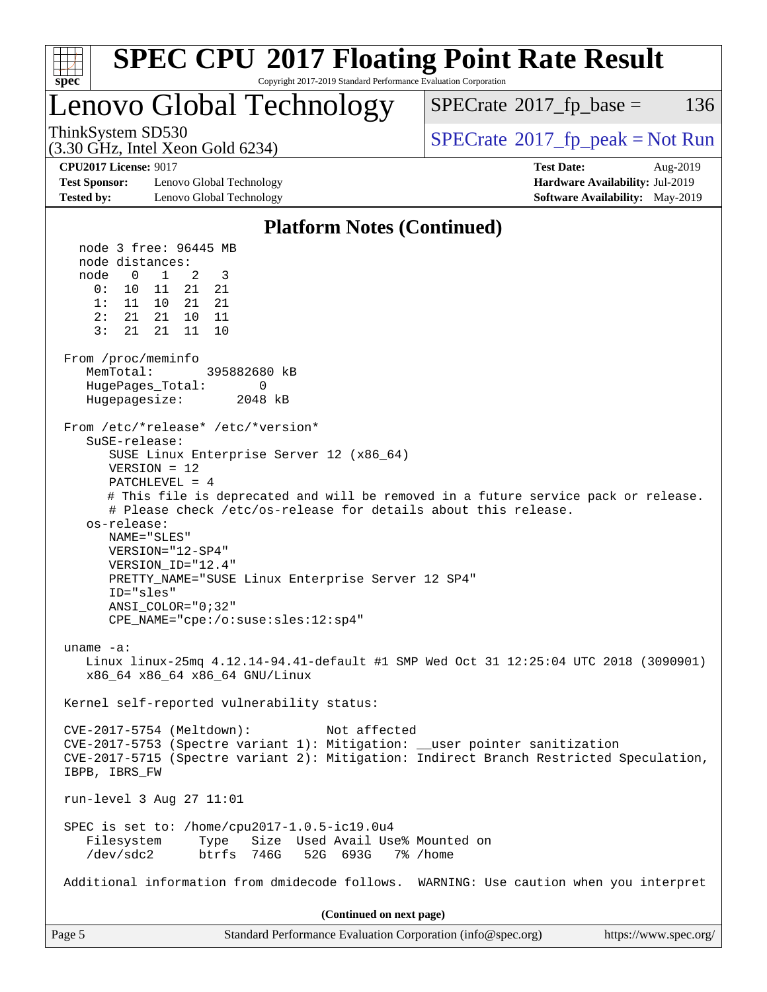| <b>SPEC CPU®2017 Floating Point Rate Result</b><br>Copyright 2017-2019 Standard Performance Evaluation Corporation<br>$spec^*$                                                                                                                                                                                                                                                                                                                                                                           |                                                                                                     |
|----------------------------------------------------------------------------------------------------------------------------------------------------------------------------------------------------------------------------------------------------------------------------------------------------------------------------------------------------------------------------------------------------------------------------------------------------------------------------------------------------------|-----------------------------------------------------------------------------------------------------|
| Lenovo Global Technology                                                                                                                                                                                                                                                                                                                                                                                                                                                                                 | $SPECrate^{\circ}2017$ _fp_base =<br>136                                                            |
| ThinkSystem SD530<br>$(3.30 \text{ GHz}, \text{Intel Xeon Gold } 6234)$                                                                                                                                                                                                                                                                                                                                                                                                                                  | $SPECrate^{\circ}2017$ [p_peak = Not Run                                                            |
| <b>CPU2017 License: 9017</b><br><b>Test Sponsor:</b><br>Lenovo Global Technology<br><b>Tested by:</b><br>Lenovo Global Technology                                                                                                                                                                                                                                                                                                                                                                        | <b>Test Date:</b><br>Aug-2019<br>Hardware Availability: Jul-2019<br>Software Availability: May-2019 |
| <b>Platform Notes (Continued)</b>                                                                                                                                                                                                                                                                                                                                                                                                                                                                        |                                                                                                     |
| node 3 free: 96445 MB                                                                                                                                                                                                                                                                                                                                                                                                                                                                                    |                                                                                                     |
| node distances:<br>$\mathsf{O}$<br>node<br>$\mathbf{1}$<br>3<br>2<br>0 :<br>11<br>21<br>21<br>10<br>1:<br>11 10<br>21<br>21<br>2:<br>21 21<br>10<br>11<br>3:<br>21<br>21<br>11<br>10                                                                                                                                                                                                                                                                                                                     |                                                                                                     |
| From /proc/meminfo<br>MemTotal:<br>395882680 kB<br>HugePages_Total:<br>0<br>Hugepagesize:<br>2048 kB                                                                                                                                                                                                                                                                                                                                                                                                     |                                                                                                     |
| From /etc/*release* /etc/*version*<br>SuSE-release:<br>SUSE Linux Enterprise Server 12 (x86_64)<br>$VERSION = 12$<br>$PATCHLEVEL = 4$<br># This file is deprecated and will be removed in a future service pack or release.<br># Please check /etc/os-release for details about this release.<br>os-release:<br>NAME="SLES"<br>VERSION="12-SP4"<br>VERSION ID="12.4"<br>PRETTY_NAME="SUSE Linux Enterprise Server 12 SP4"<br>ID="sles"<br>ANSI COLOR="0;32"<br>$CPE\_NAME = "cpe://o:suse: sles:12:sp4"$ |                                                                                                     |
| uname $-a$ :<br>Linux linux-25mq 4.12.14-94.41-default #1 SMP Wed Oct 31 12:25:04 UTC 2018 (3090901)<br>x86_64 x86_64 x86_64 GNU/Linux                                                                                                                                                                                                                                                                                                                                                                   |                                                                                                     |
| Kernel self-reported vulnerability status:                                                                                                                                                                                                                                                                                                                                                                                                                                                               |                                                                                                     |
| CVE-2017-5754 (Meltdown):<br>Not affected<br>CVE-2017-5753 (Spectre variant 1): Mitigation: __user pointer sanitization<br>CVE-2017-5715 (Spectre variant 2): Mitigation: Indirect Branch Restricted Speculation,<br>IBPB, IBRS_FW                                                                                                                                                                                                                                                                       |                                                                                                     |
| run-level 3 Aug 27 11:01                                                                                                                                                                                                                                                                                                                                                                                                                                                                                 |                                                                                                     |
| SPEC is set to: /home/cpu2017-1.0.5-ic19.0u4<br>Filesystem<br>Type<br>Size Used Avail Use% Mounted on<br>$/\text{dev}/\text{sdc2}$<br>btrfs 746G<br>52G 693G                                                                                                                                                                                                                                                                                                                                             | 7% /home                                                                                            |
| Additional information from dmidecode follows. WARNING: Use caution when you interpret                                                                                                                                                                                                                                                                                                                                                                                                                   |                                                                                                     |
| (Continued on next page)                                                                                                                                                                                                                                                                                                                                                                                                                                                                                 |                                                                                                     |
| Page 5<br>Standard Performance Evaluation Corporation (info@spec.org)                                                                                                                                                                                                                                                                                                                                                                                                                                    | https://www.spec.org/                                                                               |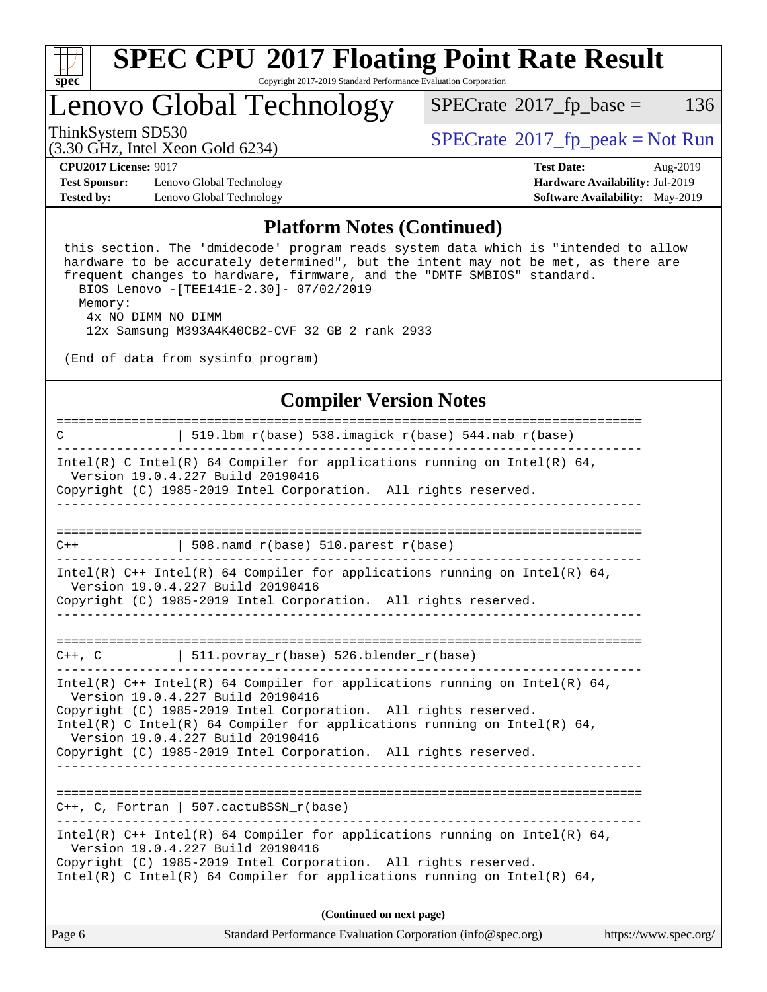

### Lenovo Global Technology

 $SPECTate@2017_fp\_base = 136$ 

(3.30 GHz, Intel Xeon Gold 6234)

ThinkSystem SD530<br>  $\begin{array}{c}\n\text{SPECrate} \textcirc 2017\_fp\_peak = Not Run \\
\text{SPECrate} \textcirc 2017\_fp\_peak = Not Run\n\end{array}$  $\begin{array}{c}\n\text{SPECrate} \textcirc 2017\_fp\_peak = Not Run \\
\text{SPECrate} \textcirc 2017\_fp\_peak = Not Run\n\end{array}$  $\begin{array}{c}\n\text{SPECrate} \textcirc 2017\_fp\_peak = Not Run \\
\text{SPECrate} \textcirc 2017\_fp\_peak = Not Run\n\end{array}$ 

**[Test Sponsor:](http://www.spec.org/auto/cpu2017/Docs/result-fields.html#TestSponsor)** Lenovo Global Technology **[Hardware Availability:](http://www.spec.org/auto/cpu2017/Docs/result-fields.html#HardwareAvailability)** Jul-2019 **[Tested by:](http://www.spec.org/auto/cpu2017/Docs/result-fields.html#Testedby)** Lenovo Global Technology **[Software Availability:](http://www.spec.org/auto/cpu2017/Docs/result-fields.html#SoftwareAvailability)** May-2019

**[CPU2017 License:](http://www.spec.org/auto/cpu2017/Docs/result-fields.html#CPU2017License)** 9017 **[Test Date:](http://www.spec.org/auto/cpu2017/Docs/result-fields.html#TestDate)** Aug-2019

#### **[Platform Notes \(Continued\)](http://www.spec.org/auto/cpu2017/Docs/result-fields.html#PlatformNotes)**

 this section. The 'dmidecode' program reads system data which is "intended to allow hardware to be accurately determined", but the intent may not be met, as there are frequent changes to hardware, firmware, and the "DMTF SMBIOS" standard. BIOS Lenovo -[TEE141E-2.30]- 07/02/2019 Memory: 4x NO DIMM NO DIMM

12x Samsung M393A4K40CB2-CVF 32 GB 2 rank 2933

(End of data from sysinfo program)

### **[Compiler Version Notes](http://www.spec.org/auto/cpu2017/Docs/result-fields.html#CompilerVersionNotes)**

| Page 6                                                                                                                                                                                                                                                                                   | Standard Performance Evaluation Corporation (info@spec.org)<br>https://www.spec.org/ |
|------------------------------------------------------------------------------------------------------------------------------------------------------------------------------------------------------------------------------------------------------------------------------------------|--------------------------------------------------------------------------------------|
|                                                                                                                                                                                                                                                                                          | (Continued on next page)                                                             |
| Intel(R) C++ Intel(R) 64 Compiler for applications running on Intel(R) 64,<br>Version 19.0.4.227 Build 20190416<br>Copyright (C) 1985-2019 Intel Corporation. All rights reserved.<br>Intel(R) C Intel(R) 64 Compiler for applications running on Intel(R) 64,                           |                                                                                      |
| $C++$ , C, Fortran   507.cactuBSSN_r(base)                                                                                                                                                                                                                                               |                                                                                      |
| Version 19.0.4.227 Build 20190416<br>Copyright (C) 1985-2019 Intel Corporation. All rights reserved.<br>Intel(R) C Intel(R) 64 Compiler for applications running on Intel(R) 64,<br>Version 19.0.4.227 Build 20190416<br>Copyright (C) 1985-2019 Intel Corporation. All rights reserved. |                                                                                      |
| Intel(R) $C++$ Intel(R) 64 Compiler for applications running on Intel(R) 64,                                                                                                                                                                                                             |                                                                                      |
| $C++$ , C   511.povray_r(base) 526.blender_r(base)                                                                                                                                                                                                                                       |                                                                                      |
| Copyright (C) 1985-2019 Intel Corporation. All rights reserved.                                                                                                                                                                                                                          | <u> - - - - - - - - - - - -</u>                                                      |
| Intel(R) $C++$ Intel(R) 64 Compiler for applications running on Intel(R) 64,<br>Version 19.0.4.227 Build 20190416                                                                                                                                                                        |                                                                                      |
| $\vert$ 508.namd_r(base) 510.parest_r(base)<br>$C++$                                                                                                                                                                                                                                     |                                                                                      |
|                                                                                                                                                                                                                                                                                          |                                                                                      |
| Intel(R) C Intel(R) 64 Compiler for applications running on Intel(R) 64,<br>Version 19.0.4.227 Build 20190416<br>Copyright (C) 1985-2019 Intel Corporation. All rights reserved.                                                                                                         |                                                                                      |
| C                                                                                                                                                                                                                                                                                        | $519.1bm_r(base) 538.imagick_r(base) 544.nab_r(base)$                                |
|                                                                                                                                                                                                                                                                                          |                                                                                      |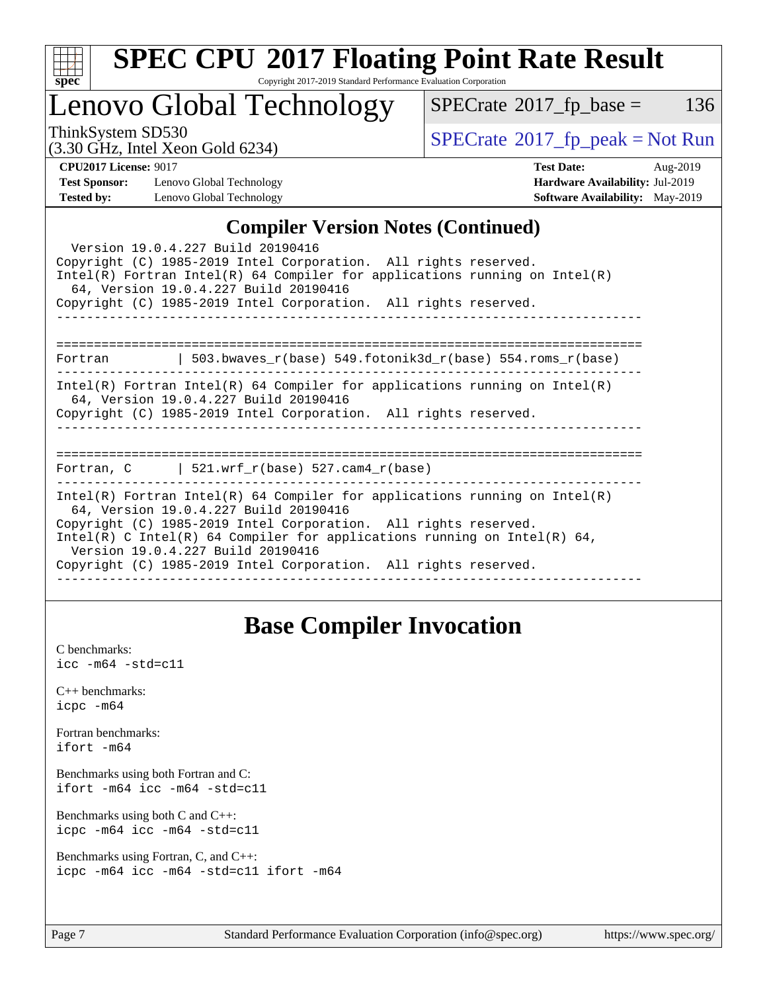

# **[SPEC CPU](http://www.spec.org/auto/cpu2017/Docs/result-fields.html#SPECCPU2017FloatingPointRateResult)[2017 Floating Point Rate Result](http://www.spec.org/auto/cpu2017/Docs/result-fields.html#SPECCPU2017FloatingPointRateResult)**

Copyright 2017-2019 Standard Performance Evaluation Corporation

### Lenovo Global Technology

 $SPECTate@2017_fp\_base = 136$ 

(3.30 GHz, Intel Xeon Gold 6234)

 $SPECTate@2017<sub>fr</sub> peak = Not Run$ 

**[Test Sponsor:](http://www.spec.org/auto/cpu2017/Docs/result-fields.html#TestSponsor)** Lenovo Global Technology **[Hardware Availability:](http://www.spec.org/auto/cpu2017/Docs/result-fields.html#HardwareAvailability)** Jul-2019 **[Tested by:](http://www.spec.org/auto/cpu2017/Docs/result-fields.html#Testedby)** Lenovo Global Technology **[Software Availability:](http://www.spec.org/auto/cpu2017/Docs/result-fields.html#SoftwareAvailability)** May-2019

**[CPU2017 License:](http://www.spec.org/auto/cpu2017/Docs/result-fields.html#CPU2017License)** 9017 **[Test Date:](http://www.spec.org/auto/cpu2017/Docs/result-fields.html#TestDate)** Aug-2019

### **[Compiler Version Notes \(Continued\)](http://www.spec.org/auto/cpu2017/Docs/result-fields.html#CompilerVersionNotes)**

| Version 19.0.4.227 Build 20190416<br>Copyright (C) 1985-2019 Intel Corporation. All rights reserved.<br>$Intel(R)$ Fortran Intel(R) 64 Compiler for applications running on Intel(R)<br>64, Version 19.0.4.227 Build 20190416<br>Copyright (C) 1985-2019 Intel Corporation. All rights reserved.                                                                           |
|----------------------------------------------------------------------------------------------------------------------------------------------------------------------------------------------------------------------------------------------------------------------------------------------------------------------------------------------------------------------------|
|                                                                                                                                                                                                                                                                                                                                                                            |
| Fortran   503.bwaves_r(base) 549.fotonik3d_r(base) 554.roms_r(base)                                                                                                                                                                                                                                                                                                        |
| $Intel(R)$ Fortran Intel(R) 64 Compiler for applications running on Intel(R)<br>64, Version 19.0.4.227 Build 20190416<br>Copyright (C) 1985-2019 Intel Corporation. All rights reserved.                                                                                                                                                                                   |
| Fortran, $C$   521.wrf $r(base)$ 527.cam4 $r(base)$                                                                                                                                                                                                                                                                                                                        |
| Intel(R) Fortran Intel(R) 64 Compiler for applications running on Intel(R)<br>64, Version 19.0.4.227 Build 20190416<br>Copyright (C) 1985-2019 Intel Corporation. All rights reserved.<br>Intel(R) C Intel(R) 64 Compiler for applications running on Intel(R) 64,<br>Version 19.0.4.227 Build 20190416<br>Copyright (C) 1985-2019 Intel Corporation. All rights reserved. |

### **[Base Compiler Invocation](http://www.spec.org/auto/cpu2017/Docs/result-fields.html#BaseCompilerInvocation)**

[C benchmarks](http://www.spec.org/auto/cpu2017/Docs/result-fields.html#Cbenchmarks): [icc -m64 -std=c11](http://www.spec.org/cpu2017/results/res2019q3/cpu2017-20190903-17594.flags.html#user_CCbase_intel_icc_64bit_c11_33ee0cdaae7deeeab2a9725423ba97205ce30f63b9926c2519791662299b76a0318f32ddfffdc46587804de3178b4f9328c46fa7c2b0cd779d7a61945c91cd35)

[C++ benchmarks:](http://www.spec.org/auto/cpu2017/Docs/result-fields.html#CXXbenchmarks) [icpc -m64](http://www.spec.org/cpu2017/results/res2019q3/cpu2017-20190903-17594.flags.html#user_CXXbase_intel_icpc_64bit_4ecb2543ae3f1412ef961e0650ca070fec7b7afdcd6ed48761b84423119d1bf6bdf5cad15b44d48e7256388bc77273b966e5eb805aefd121eb22e9299b2ec9d9)

[Fortran benchmarks](http://www.spec.org/auto/cpu2017/Docs/result-fields.html#Fortranbenchmarks): [ifort -m64](http://www.spec.org/cpu2017/results/res2019q3/cpu2017-20190903-17594.flags.html#user_FCbase_intel_ifort_64bit_24f2bb282fbaeffd6157abe4f878425411749daecae9a33200eee2bee2fe76f3b89351d69a8130dd5949958ce389cf37ff59a95e7a40d588e8d3a57e0c3fd751)

[Benchmarks using both Fortran and C](http://www.spec.org/auto/cpu2017/Docs/result-fields.html#BenchmarksusingbothFortranandC): [ifort -m64](http://www.spec.org/cpu2017/results/res2019q3/cpu2017-20190903-17594.flags.html#user_CC_FCbase_intel_ifort_64bit_24f2bb282fbaeffd6157abe4f878425411749daecae9a33200eee2bee2fe76f3b89351d69a8130dd5949958ce389cf37ff59a95e7a40d588e8d3a57e0c3fd751) [icc -m64 -std=c11](http://www.spec.org/cpu2017/results/res2019q3/cpu2017-20190903-17594.flags.html#user_CC_FCbase_intel_icc_64bit_c11_33ee0cdaae7deeeab2a9725423ba97205ce30f63b9926c2519791662299b76a0318f32ddfffdc46587804de3178b4f9328c46fa7c2b0cd779d7a61945c91cd35)

[Benchmarks using both C and C++](http://www.spec.org/auto/cpu2017/Docs/result-fields.html#BenchmarksusingbothCandCXX): [icpc -m64](http://www.spec.org/cpu2017/results/res2019q3/cpu2017-20190903-17594.flags.html#user_CC_CXXbase_intel_icpc_64bit_4ecb2543ae3f1412ef961e0650ca070fec7b7afdcd6ed48761b84423119d1bf6bdf5cad15b44d48e7256388bc77273b966e5eb805aefd121eb22e9299b2ec9d9) [icc -m64 -std=c11](http://www.spec.org/cpu2017/results/res2019q3/cpu2017-20190903-17594.flags.html#user_CC_CXXbase_intel_icc_64bit_c11_33ee0cdaae7deeeab2a9725423ba97205ce30f63b9926c2519791662299b76a0318f32ddfffdc46587804de3178b4f9328c46fa7c2b0cd779d7a61945c91cd35)

[Benchmarks using Fortran, C, and C++:](http://www.spec.org/auto/cpu2017/Docs/result-fields.html#BenchmarksusingFortranCandCXX) [icpc -m64](http://www.spec.org/cpu2017/results/res2019q3/cpu2017-20190903-17594.flags.html#user_CC_CXX_FCbase_intel_icpc_64bit_4ecb2543ae3f1412ef961e0650ca070fec7b7afdcd6ed48761b84423119d1bf6bdf5cad15b44d48e7256388bc77273b966e5eb805aefd121eb22e9299b2ec9d9) [icc -m64 -std=c11](http://www.spec.org/cpu2017/results/res2019q3/cpu2017-20190903-17594.flags.html#user_CC_CXX_FCbase_intel_icc_64bit_c11_33ee0cdaae7deeeab2a9725423ba97205ce30f63b9926c2519791662299b76a0318f32ddfffdc46587804de3178b4f9328c46fa7c2b0cd779d7a61945c91cd35) [ifort -m64](http://www.spec.org/cpu2017/results/res2019q3/cpu2017-20190903-17594.flags.html#user_CC_CXX_FCbase_intel_ifort_64bit_24f2bb282fbaeffd6157abe4f878425411749daecae9a33200eee2bee2fe76f3b89351d69a8130dd5949958ce389cf37ff59a95e7a40d588e8d3a57e0c3fd751)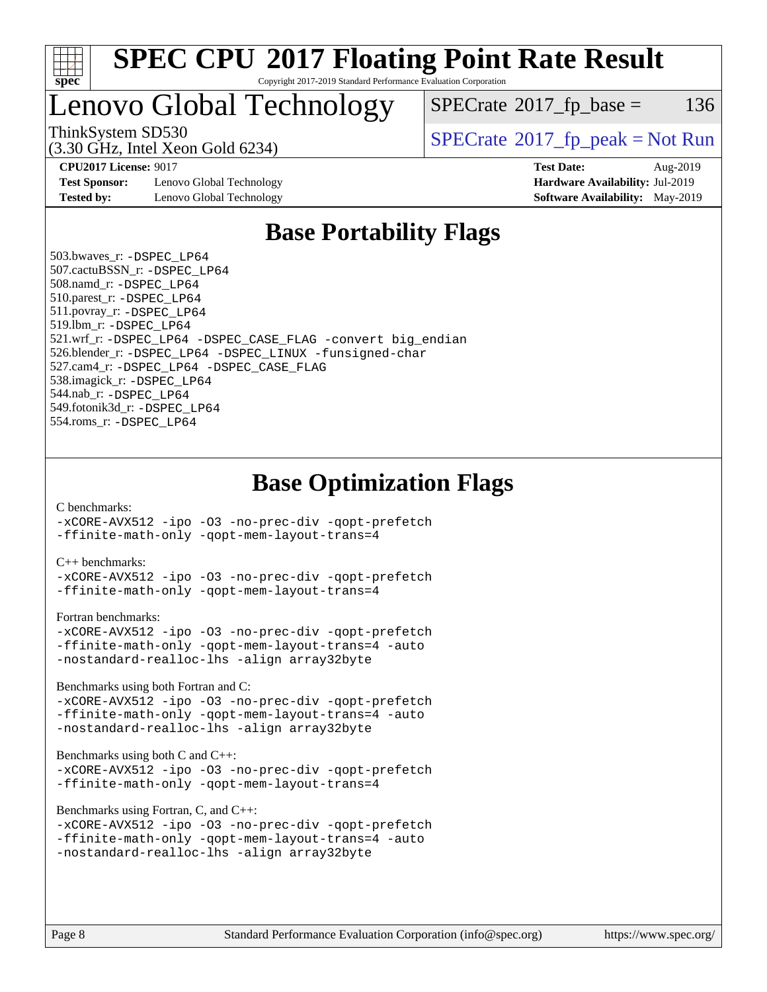

### Lenovo Global Technology

 $SPECTate$ <sup>®</sup>[2017\\_fp\\_base =](http://www.spec.org/auto/cpu2017/Docs/result-fields.html#SPECrate2017fpbase) 136

(3.30 GHz, Intel Xeon Gold 6234)

ThinkSystem SD530<br>  $SPECrate^{\circ}2017$  $SPECrate^{\circ}2017$  fp\_peak = Not Run

**[Test Sponsor:](http://www.spec.org/auto/cpu2017/Docs/result-fields.html#TestSponsor)** Lenovo Global Technology **[Hardware Availability:](http://www.spec.org/auto/cpu2017/Docs/result-fields.html#HardwareAvailability)** Jul-2019 **[Tested by:](http://www.spec.org/auto/cpu2017/Docs/result-fields.html#Testedby)** Lenovo Global Technology **[Software Availability:](http://www.spec.org/auto/cpu2017/Docs/result-fields.html#SoftwareAvailability)** May-2019

**[CPU2017 License:](http://www.spec.org/auto/cpu2017/Docs/result-fields.html#CPU2017License)** 9017 **[Test Date:](http://www.spec.org/auto/cpu2017/Docs/result-fields.html#TestDate)** Aug-2019

### **[Base Portability Flags](http://www.spec.org/auto/cpu2017/Docs/result-fields.html#BasePortabilityFlags)**

 503.bwaves\_r: [-DSPEC\\_LP64](http://www.spec.org/cpu2017/results/res2019q3/cpu2017-20190903-17594.flags.html#suite_basePORTABILITY503_bwaves_r_DSPEC_LP64) 507.cactuBSSN\_r: [-DSPEC\\_LP64](http://www.spec.org/cpu2017/results/res2019q3/cpu2017-20190903-17594.flags.html#suite_basePORTABILITY507_cactuBSSN_r_DSPEC_LP64) 508.namd\_r: [-DSPEC\\_LP64](http://www.spec.org/cpu2017/results/res2019q3/cpu2017-20190903-17594.flags.html#suite_basePORTABILITY508_namd_r_DSPEC_LP64) 510.parest\_r: [-DSPEC\\_LP64](http://www.spec.org/cpu2017/results/res2019q3/cpu2017-20190903-17594.flags.html#suite_basePORTABILITY510_parest_r_DSPEC_LP64) 511.povray\_r: [-DSPEC\\_LP64](http://www.spec.org/cpu2017/results/res2019q3/cpu2017-20190903-17594.flags.html#suite_basePORTABILITY511_povray_r_DSPEC_LP64) 519.lbm\_r: [-DSPEC\\_LP64](http://www.spec.org/cpu2017/results/res2019q3/cpu2017-20190903-17594.flags.html#suite_basePORTABILITY519_lbm_r_DSPEC_LP64) 521.wrf\_r: [-DSPEC\\_LP64](http://www.spec.org/cpu2017/results/res2019q3/cpu2017-20190903-17594.flags.html#suite_basePORTABILITY521_wrf_r_DSPEC_LP64) [-DSPEC\\_CASE\\_FLAG](http://www.spec.org/cpu2017/results/res2019q3/cpu2017-20190903-17594.flags.html#b521.wrf_r_baseCPORTABILITY_DSPEC_CASE_FLAG) [-convert big\\_endian](http://www.spec.org/cpu2017/results/res2019q3/cpu2017-20190903-17594.flags.html#user_baseFPORTABILITY521_wrf_r_convert_big_endian_c3194028bc08c63ac5d04de18c48ce6d347e4e562e8892b8bdbdc0214820426deb8554edfa529a3fb25a586e65a3d812c835984020483e7e73212c4d31a38223) 526.blender\_r: [-DSPEC\\_LP64](http://www.spec.org/cpu2017/results/res2019q3/cpu2017-20190903-17594.flags.html#suite_basePORTABILITY526_blender_r_DSPEC_LP64) [-DSPEC\\_LINUX](http://www.spec.org/cpu2017/results/res2019q3/cpu2017-20190903-17594.flags.html#b526.blender_r_baseCPORTABILITY_DSPEC_LINUX) [-funsigned-char](http://www.spec.org/cpu2017/results/res2019q3/cpu2017-20190903-17594.flags.html#user_baseCPORTABILITY526_blender_r_force_uchar_40c60f00ab013830e2dd6774aeded3ff59883ba5a1fc5fc14077f794d777847726e2a5858cbc7672e36e1b067e7e5c1d9a74f7176df07886a243d7cc18edfe67) 527.cam4\_r: [-DSPEC\\_LP64](http://www.spec.org/cpu2017/results/res2019q3/cpu2017-20190903-17594.flags.html#suite_basePORTABILITY527_cam4_r_DSPEC_LP64) [-DSPEC\\_CASE\\_FLAG](http://www.spec.org/cpu2017/results/res2019q3/cpu2017-20190903-17594.flags.html#b527.cam4_r_baseCPORTABILITY_DSPEC_CASE_FLAG) 538.imagick\_r: [-DSPEC\\_LP64](http://www.spec.org/cpu2017/results/res2019q3/cpu2017-20190903-17594.flags.html#suite_basePORTABILITY538_imagick_r_DSPEC_LP64) 544.nab\_r: [-DSPEC\\_LP64](http://www.spec.org/cpu2017/results/res2019q3/cpu2017-20190903-17594.flags.html#suite_basePORTABILITY544_nab_r_DSPEC_LP64) 549.fotonik3d\_r: [-DSPEC\\_LP64](http://www.spec.org/cpu2017/results/res2019q3/cpu2017-20190903-17594.flags.html#suite_basePORTABILITY549_fotonik3d_r_DSPEC_LP64) 554.roms\_r: [-DSPEC\\_LP64](http://www.spec.org/cpu2017/results/res2019q3/cpu2017-20190903-17594.flags.html#suite_basePORTABILITY554_roms_r_DSPEC_LP64)

### **[Base Optimization Flags](http://www.spec.org/auto/cpu2017/Docs/result-fields.html#BaseOptimizationFlags)**

#### [C benchmarks](http://www.spec.org/auto/cpu2017/Docs/result-fields.html#Cbenchmarks):

[-xCORE-AVX512](http://www.spec.org/cpu2017/results/res2019q3/cpu2017-20190903-17594.flags.html#user_CCbase_f-xCORE-AVX512) [-ipo](http://www.spec.org/cpu2017/results/res2019q3/cpu2017-20190903-17594.flags.html#user_CCbase_f-ipo) [-O3](http://www.spec.org/cpu2017/results/res2019q3/cpu2017-20190903-17594.flags.html#user_CCbase_f-O3) [-no-prec-div](http://www.spec.org/cpu2017/results/res2019q3/cpu2017-20190903-17594.flags.html#user_CCbase_f-no-prec-div) [-qopt-prefetch](http://www.spec.org/cpu2017/results/res2019q3/cpu2017-20190903-17594.flags.html#user_CCbase_f-qopt-prefetch) [-ffinite-math-only](http://www.spec.org/cpu2017/results/res2019q3/cpu2017-20190903-17594.flags.html#user_CCbase_f_finite_math_only_cb91587bd2077682c4b38af759c288ed7c732db004271a9512da14a4f8007909a5f1427ecbf1a0fb78ff2a814402c6114ac565ca162485bbcae155b5e4258871) [-qopt-mem-layout-trans=4](http://www.spec.org/cpu2017/results/res2019q3/cpu2017-20190903-17594.flags.html#user_CCbase_f-qopt-mem-layout-trans_fa39e755916c150a61361b7846f310bcdf6f04e385ef281cadf3647acec3f0ae266d1a1d22d972a7087a248fd4e6ca390a3634700869573d231a252c784941a8)

#### [C++ benchmarks:](http://www.spec.org/auto/cpu2017/Docs/result-fields.html#CXXbenchmarks)

[-xCORE-AVX512](http://www.spec.org/cpu2017/results/res2019q3/cpu2017-20190903-17594.flags.html#user_CXXbase_f-xCORE-AVX512) [-ipo](http://www.spec.org/cpu2017/results/res2019q3/cpu2017-20190903-17594.flags.html#user_CXXbase_f-ipo) [-O3](http://www.spec.org/cpu2017/results/res2019q3/cpu2017-20190903-17594.flags.html#user_CXXbase_f-O3) [-no-prec-div](http://www.spec.org/cpu2017/results/res2019q3/cpu2017-20190903-17594.flags.html#user_CXXbase_f-no-prec-div) [-qopt-prefetch](http://www.spec.org/cpu2017/results/res2019q3/cpu2017-20190903-17594.flags.html#user_CXXbase_f-qopt-prefetch) [-ffinite-math-only](http://www.spec.org/cpu2017/results/res2019q3/cpu2017-20190903-17594.flags.html#user_CXXbase_f_finite_math_only_cb91587bd2077682c4b38af759c288ed7c732db004271a9512da14a4f8007909a5f1427ecbf1a0fb78ff2a814402c6114ac565ca162485bbcae155b5e4258871) [-qopt-mem-layout-trans=4](http://www.spec.org/cpu2017/results/res2019q3/cpu2017-20190903-17594.flags.html#user_CXXbase_f-qopt-mem-layout-trans_fa39e755916c150a61361b7846f310bcdf6f04e385ef281cadf3647acec3f0ae266d1a1d22d972a7087a248fd4e6ca390a3634700869573d231a252c784941a8)

#### [Fortran benchmarks](http://www.spec.org/auto/cpu2017/Docs/result-fields.html#Fortranbenchmarks):

```
-xCORE-AVX512 -ipo -O3 -no-prec-div -qopt-prefetch
-ffinite-math-only -qopt-mem-layout-trans=4 -auto
-nostandard-realloc-lhs -align array32byte
```
[Benchmarks using both Fortran and C](http://www.spec.org/auto/cpu2017/Docs/result-fields.html#BenchmarksusingbothFortranandC):

```
-xCORE-AVX512 -ipo -O3 -no-prec-div -qopt-prefetch
-ffinite-math-only -qopt-mem-layout-trans=4 -auto
-nostandard-realloc-lhs -align array32byte
```
#### [Benchmarks using both C and C++](http://www.spec.org/auto/cpu2017/Docs/result-fields.html#BenchmarksusingbothCandCXX):

```
-xCORE-AVX512 -ipo -O3 -no-prec-div -qopt-prefetch
-ffinite-math-only -qopt-mem-layout-trans=4
```
[Benchmarks using Fortran, C, and C++:](http://www.spec.org/auto/cpu2017/Docs/result-fields.html#BenchmarksusingFortranCandCXX)

```
-xCORE-AVX512 -ipo -O3 -no-prec-div -qopt-prefetch
-ffinite-math-only -qopt-mem-layout-trans=4 -auto
-nostandard-realloc-lhs -align array32byte
```